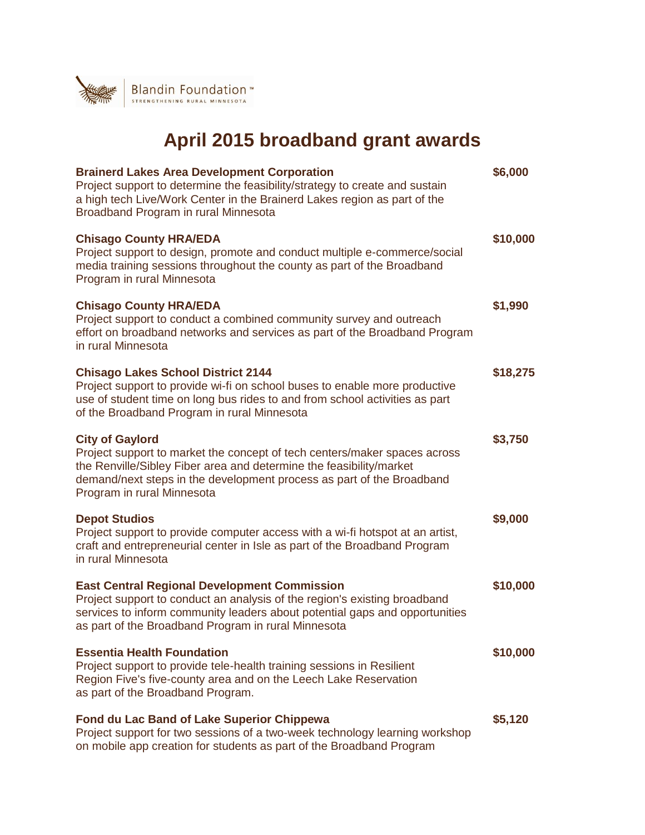

## **April 2015 broadband grant awards**

| <b>Brainerd Lakes Area Development Corporation</b><br>Project support to determine the feasibility/strategy to create and sustain<br>a high tech Live/Work Center in the Brainerd Lakes region as part of the<br>Broadband Program in rural Minnesota                             | \$6,000  |
|-----------------------------------------------------------------------------------------------------------------------------------------------------------------------------------------------------------------------------------------------------------------------------------|----------|
| <b>Chisago County HRA/EDA</b><br>Project support to design, promote and conduct multiple e-commerce/social<br>media training sessions throughout the county as part of the Broadband<br>Program in rural Minnesota                                                                | \$10,000 |
| <b>Chisago County HRA/EDA</b><br>Project support to conduct a combined community survey and outreach<br>effort on broadband networks and services as part of the Broadband Program<br>in rural Minnesota                                                                          | \$1,990  |
| <b>Chisago Lakes School District 2144</b><br>Project support to provide wi-fi on school buses to enable more productive<br>use of student time on long bus rides to and from school activities as part<br>of the Broadband Program in rural Minnesota                             | \$18,275 |
| <b>City of Gaylord</b><br>Project support to market the concept of tech centers/maker spaces across<br>the Renville/Sibley Fiber area and determine the feasibility/market<br>demand/next steps in the development process as part of the Broadband<br>Program in rural Minnesota | \$3,750  |
| <b>Depot Studios</b><br>Project support to provide computer access with a wi-fi hotspot at an artist,<br>craft and entrepreneurial center in Isle as part of the Broadband Program<br>in rural Minnesota                                                                          | \$9,000  |
| <b>East Central Regional Development Commission</b><br>Project support to conduct an analysis of the region's existing broadband<br>services to inform community leaders about potential gaps and opportunities<br>as part of the Broadband Program in rural Minnesota            | \$10,000 |
| <b>Essentia Health Foundation</b><br>Project support to provide tele-health training sessions in Resilient<br>Region Five's five-county area and on the Leech Lake Reservation<br>as part of the Broadband Program.                                                               | \$10,000 |
| <b>Fond du Lac Band of Lake Superior Chippewa</b><br>Project support for two sessions of a two-week technology learning workshop<br>on mobile app creation for students as part of the Broadband Program                                                                          | \$5,120  |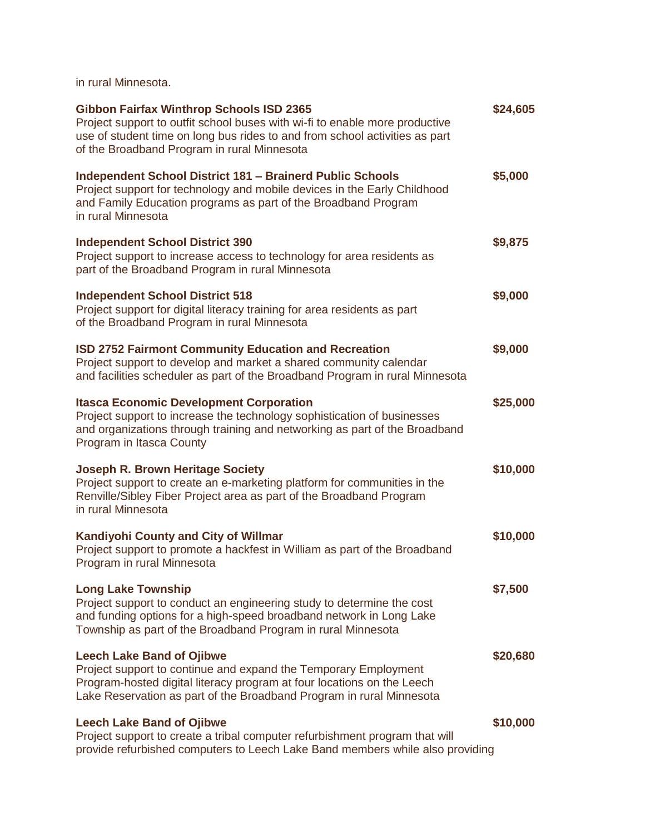in rural Minnesota.

| <b>Gibbon Fairfax Winthrop Schools ISD 2365</b><br>Project support to outfit school buses with wi-fi to enable more productive<br>use of student time on long bus rides to and from school activities as part<br>of the Broadband Program in rural Minnesota | \$24,605 |
|--------------------------------------------------------------------------------------------------------------------------------------------------------------------------------------------------------------------------------------------------------------|----------|
| <b>Independent School District 181 - Brainerd Public Schools</b><br>Project support for technology and mobile devices in the Early Childhood<br>and Family Education programs as part of the Broadband Program<br>in rural Minnesota                         | \$5,000  |
| <b>Independent School District 390</b><br>Project support to increase access to technology for area residents as<br>part of the Broadband Program in rural Minnesota                                                                                         | \$9,875  |
| <b>Independent School District 518</b><br>Project support for digital literacy training for area residents as part<br>of the Broadband Program in rural Minnesota                                                                                            | \$9,000  |
| <b>ISD 2752 Fairmont Community Education and Recreation</b><br>Project support to develop and market a shared community calendar<br>and facilities scheduler as part of the Broadband Program in rural Minnesota                                             | \$9,000  |
| <b>Itasca Economic Development Corporation</b><br>Project support to increase the technology sophistication of businesses<br>and organizations through training and networking as part of the Broadband<br>Program in Itasca County                          | \$25,000 |
| <b>Joseph R. Brown Heritage Society</b><br>Project support to create an e-marketing platform for communities in the<br>Renville/Sibley Fiber Project area as part of the Broadband Program<br>in rural Minnesota                                             | \$10,000 |
| Kandiyohi County and City of Willmar<br>Project support to promote a hackfest in William as part of the Broadband<br>Program in rural Minnesota                                                                                                              | \$10,000 |
| <b>Long Lake Township</b><br>Project support to conduct an engineering study to determine the cost<br>and funding options for a high-speed broadband network in Long Lake<br>Township as part of the Broadband Program in rural Minnesota                    | \$7,500  |
| <b>Leech Lake Band of Ojibwe</b><br>Project support to continue and expand the Temporary Employment<br>Program-hosted digital literacy program at four locations on the Leech<br>Lake Reservation as part of the Broadband Program in rural Minnesota        | \$20,680 |
| <b>Leech Lake Band of Ojibwe</b><br>Project support to create a tribal computer refurbishment program that will<br>provide refurbished computers to Leech Lake Band members while also providing                                                             | \$10,000 |